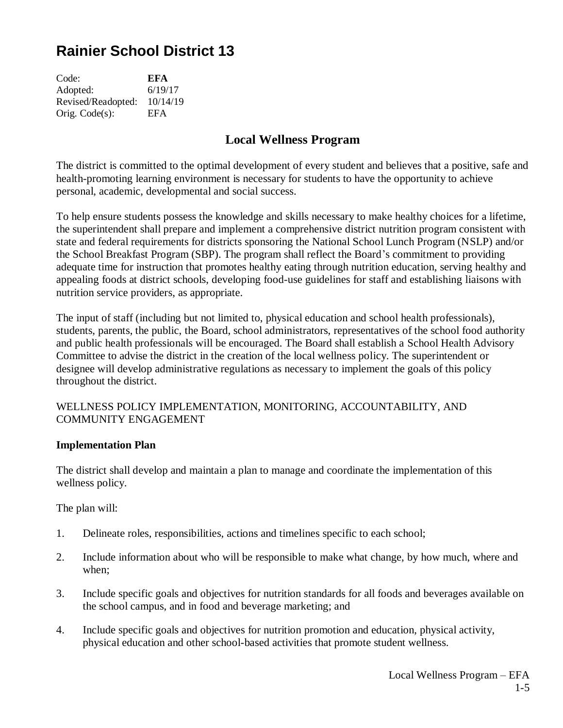# **Rainier School District 13**

| Code:              | EFA      |
|--------------------|----------|
| Adopted:           | 6/19/17  |
| Revised/Readopted: | 10/14/19 |
| Orig. $Code(s)$ :  | EFA      |

# **Local Wellness Program**

The district is committed to the optimal development of every student and believes that a positive, safe and health-promoting learning environment is necessary for students to have the opportunity to achieve personal, academic, developmental and social success.

To help ensure students possess the knowledge and skills necessary to make healthy choices for a lifetime, the superintendent shall prepare and implement a comprehensive district nutrition program consistent with state and federal requirements for districts sponsoring the National School Lunch Program (NSLP) and/or the School Breakfast Program (SBP). The program shall reflect the Board's commitment to providing adequate time for instruction that promotes healthy eating through nutrition education, serving healthy and appealing foods at district schools, developing food-use guidelines for staff and establishing liaisons with nutrition service providers, as appropriate.

The input of staff (including but not limited to, physical education and school health professionals), students, parents, the public, the Board, school administrators, representatives of the school food authority and public health professionals will be encouraged. The Board shall establish a School Health Advisory Committee to advise the district in the creation of the local wellness policy. The superintendent or designee will develop administrative regulations as necessary to implement the goals of this policy throughout the district.

#### WELLNESS POLICY IMPLEMENTATION, MONITORING, ACCOUNTABILITY, AND COMMUNITY ENGAGEMENT

#### **Implementation Plan**

The district shall develop and maintain a plan to manage and coordinate the implementation of this wellness policy.

The plan will:

- 1. Delineate roles, responsibilities, actions and timelines specific to each school;
- 2. Include information about who will be responsible to make what change, by how much, where and when;
- 3. Include specific goals and objectives for nutrition standards for all foods and beverages available on the school campus, and in food and beverage marketing; and
- 4. Include specific goals and objectives for nutrition promotion and education, physical activity, physical education and other school-based activities that promote student wellness.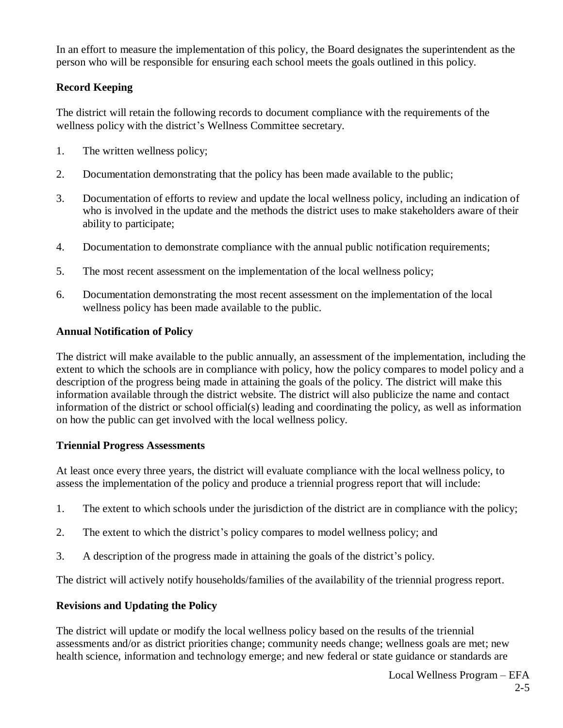In an effort to measure the implementation of this policy*,* the Board designates the superintendent as the person who will be responsible for ensuring each school meets the goals outlined in this policy.

# **Record Keeping**

The district will retain the following records to document compliance with the requirements of the wellness policy with the district's Wellness Committee secretary.

- 1. The written wellness policy;
- 2. Documentation demonstrating that the policy has been made available to the public;
- 3. Documentation of efforts to review and update the local wellness policy, including an indication of who is involved in the update and the methods the district uses to make stakeholders aware of their ability to participate;
- 4. Documentation to demonstrate compliance with the annual public notification requirements;
- 5. The most recent assessment on the implementation of the local wellness policy;
- 6. Documentation demonstrating the most recent assessment on the implementation of the local wellness policy has been made available to the public.

# **Annual Notification of Policy**

The district will make available to the public annually, an assessment of the implementation, including the extent to which the schools are in compliance with policy, how the policy compares to model policy and a description of the progress being made in attaining the goals of the policy. The district will make this information available through the district website. The district will also publicize the name and contact information of the district or school official(s) leading and coordinating the policy, as well as information on how the public can get involved with the local wellness policy.

#### **Triennial Progress Assessments**

At least once every three years, the district will evaluate compliance with the local wellness policy, to assess the implementation of the policy and produce a triennial progress report that will include:

- 1. The extent to which schools under the jurisdiction of the district are in compliance with the policy;
- 2. The extent to which the district's policy compares to model wellness policy; and
- 3. A description of the progress made in attaining the goals of the district's policy.

The district will actively notify households/families of the availability of the triennial progress report.

# **Revisions and Updating the Policy**

The district will update or modify the local wellness policy based on the results of the triennial assessments and/or as district priorities change; community needs change; wellness goals are met; new health science, information and technology emerge; and new federal or state guidance or standards are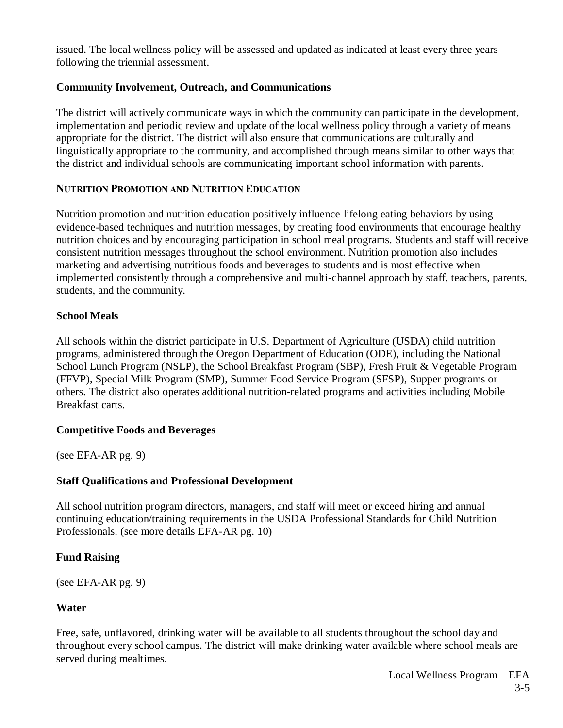issued. The local wellness policy will be assessed and updated as indicated at least every three years following the triennial assessment.

#### **Community Involvement, Outreach, and Communications**

The district will actively communicate ways in which the community can participate in the development, implementation and periodic review and update of the local wellness policy through a variety of means appropriate for the district. The district will also ensure that communications are culturally and linguistically appropriate to the community, and accomplished through means similar to other ways that the district and individual schools are communicating important school information with parents.

#### **NUTRITION PROMOTION AND NUTRITION EDUCATION**

Nutrition promotion and nutrition education positively influence lifelong eating behaviors by using evidence-based techniques and nutrition messages, by creating food environments that encourage healthy nutrition choices and by encouraging participation in school meal programs. Students and staff will receive consistent nutrition messages throughout the school environment. Nutrition promotion also includes marketing and advertising nutritious foods and beverages to students and is most effective when implemented consistently through a comprehensive and multi-channel approach by staff, teachers, parents, students, and the community.

# **School Meals**

All schools within the district participate in U.S. Department of Agriculture (USDA) child nutrition programs, administered through the Oregon Department of Education (ODE), including the National School Lunch Program (NSLP), the School Breakfast Program (SBP), Fresh Fruit & Vegetable Program (FFVP), Special Milk Program (SMP), Summer Food Service Program (SFSP), Supper programs or others. The district also operates additional nutrition-related programs and activities including Mobile Breakfast carts.

#### **Competitive Foods and Beverages**

(see EFA-AR pg. 9)

# **Staff Qualifications and Professional Development**

All school nutrition program directors, managers, and staff will meet or exceed hiring and annual continuing education/training requirements in the USDA Professional Standards for Child Nutrition Professionals. (see more details EFA-AR pg. 10)

# **Fund Raising**

(see EFA-AR pg. 9)

# **Water**

Free, safe, unflavored, drinking water will be available to all students throughout the school day and throughout every school campus. The district will make drinking water available where school meals are served during mealtimes.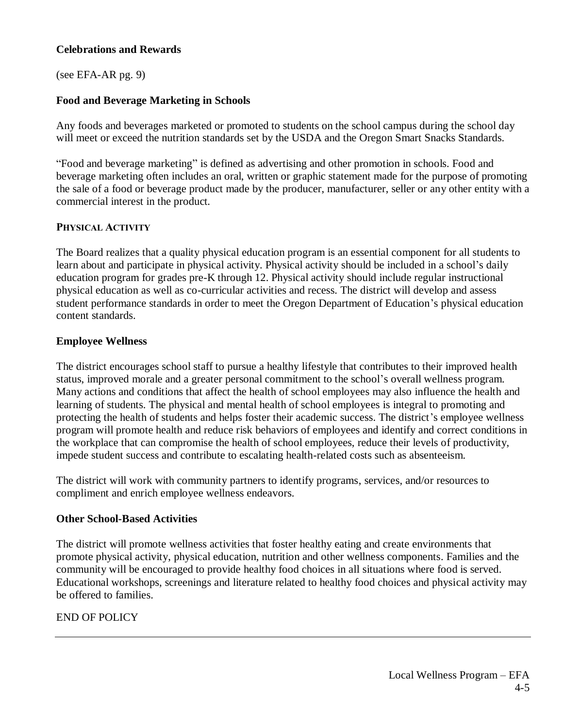#### **Celebrations and Rewards**

(see EFA-AR pg. 9)

# **Food and Beverage Marketing in Schools**

Any foods and beverages marketed or promoted to students on the school campus during the school day will meet or exceed the nutrition standards set by the USDA and the Oregon Smart Snacks Standards.

"Food and beverage marketing" is defined as advertising and other promotion in schools. Food and beverage marketing often includes an oral, written or graphic statement made for the purpose of promoting the sale of a food or beverage product made by the producer, manufacturer, seller or any other entity with a commercial interest in the product.

#### **PHYSICAL ACTIVITY**

The Board realizes that a quality physical education program is an essential component for all students to learn about and participate in physical activity. Physical activity should be included in a school's daily education program for grades pre-K through 12. Physical activity should include regular instructional physical education as well as co-curricular activities and recess. The district will develop and assess student performance standards in order to meet the Oregon Department of Education's physical education content standards.

# **Employee Wellness**

The district encourages school staff to pursue a healthy lifestyle that contributes to their improved health status, improved morale and a greater personal commitment to the school's overall wellness program. Many actions and conditions that affect the health of school employees may also influence the health and learning of students. The physical and mental health of school employees is integral to promoting and protecting the health of students and helps foster their academic success. The district's employee wellness program will promote health and reduce risk behaviors of employees and identify and correct conditions in the workplace that can compromise the health of school employees, reduce their levels of productivity, impede student success and contribute to escalating health-related costs such as absenteeism.

The district will work with community partners to identify programs, services, and/or resources to compliment and enrich employee wellness endeavors.

#### **Other School-Based Activities**

The district will promote wellness activities that foster healthy eating and create environments that promote physical activity, physical education, nutrition and other wellness components. Families and the community will be encouraged to provide healthy food choices in all situations where food is served. Educational workshops, screenings and literature related to healthy food choices and physical activity may be offered to families.

# END OF POLICY